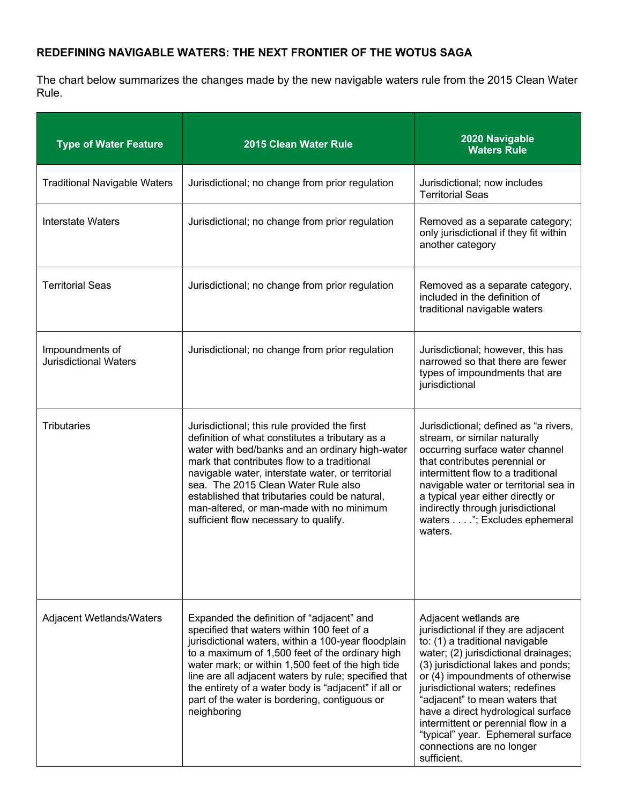## **REDEFINING NAVIGABLE WATERS: THE NEXT FRONTIER OF THE WOTUS SAGA**

The chart below summarizes the changes made by the new navigable waters rule from the 2015 Clean Water Rule.

| <b>Type of Water Feature</b>                    | 2015 Clean Water Rule                                                                                                                                                                                                                                                                                                                                                                                                                  | 2020 Navigable<br><b>Waters Rule</b>                                                                                                                                                                                                                                                                                                                                                                                                                   |
|-------------------------------------------------|----------------------------------------------------------------------------------------------------------------------------------------------------------------------------------------------------------------------------------------------------------------------------------------------------------------------------------------------------------------------------------------------------------------------------------------|--------------------------------------------------------------------------------------------------------------------------------------------------------------------------------------------------------------------------------------------------------------------------------------------------------------------------------------------------------------------------------------------------------------------------------------------------------|
| <b>Traditional Navigable Waters</b>             | Jurisdictional; no change from prior regulation                                                                                                                                                                                                                                                                                                                                                                                        | Jurisdictional; now includes<br><b>Territorial Seas</b>                                                                                                                                                                                                                                                                                                                                                                                                |
| <b>Interstate Waters</b>                        | Jurisdictional; no change from prior regulation                                                                                                                                                                                                                                                                                                                                                                                        | Removed as a separate category;<br>only jurisdictional if they fit within<br>another category                                                                                                                                                                                                                                                                                                                                                          |
| <b>Territorial Seas</b>                         | Jurisdictional; no change from prior regulation                                                                                                                                                                                                                                                                                                                                                                                        | Removed as a separate category,<br>included in the definition of<br>traditional navigable waters                                                                                                                                                                                                                                                                                                                                                       |
| Impoundments of<br><b>Jurisdictional Waters</b> | Jurisdictional; no change from prior regulation                                                                                                                                                                                                                                                                                                                                                                                        | Jurisdictional; however, this has<br>narrowed so that there are fewer<br>types of impoundments that are<br>jurisdictional                                                                                                                                                                                                                                                                                                                              |
| <b>Tributaries</b>                              | Jurisdictional; this rule provided the first<br>definition of what constitutes a tributary as a<br>water with bed/banks and an ordinary high-water<br>mark that contributes flow to a traditional<br>navigable water, interstate water, or territorial<br>sea. The 2015 Clean Water Rule also<br>established that tributaries could be natural,<br>man-altered, or man-made with no minimum<br>sufficient flow necessary to qualify.   | Jurisdictional; defined as "a rivers,<br>stream, or similar naturally<br>occurring surface water channel<br>that contributes perennial or<br>intermittent flow to a traditional<br>navigable water or territorial sea in<br>a typical year either directly or<br>indirectly through jurisdictional<br>waters"; Excludes ephemeral<br>waters.                                                                                                           |
| Adjacent Wetlands/Waters                        | Expanded the definition of "adjacent" and<br>specified that waters within 100 feet of a<br>jurisdictional waters, within a 100-year floodplain<br>to a maximum of 1,500 feet of the ordinary high<br>water mark; or within 1,500 feet of the high tide<br>line are all adjacent waters by rule; specified that<br>the entirety of a water body is "adjacent" if all or<br>part of the water is bordering, contiguous or<br>neighboring | Adjacent wetlands are<br>jurisdictional if they are adjacent<br>to: (1) a traditional navigable<br>water; (2) jurisdictional drainages;<br>(3) jurisdictional lakes and ponds;<br>or (4) impoundments of otherwise<br>jurisdictional waters; redefines<br>"adjacent" to mean waters that<br>have a direct hydrological surface<br>intermittent or perennial flow in a<br>"typical" year. Ephemeral surface<br>connections are no longer<br>sufficient. |